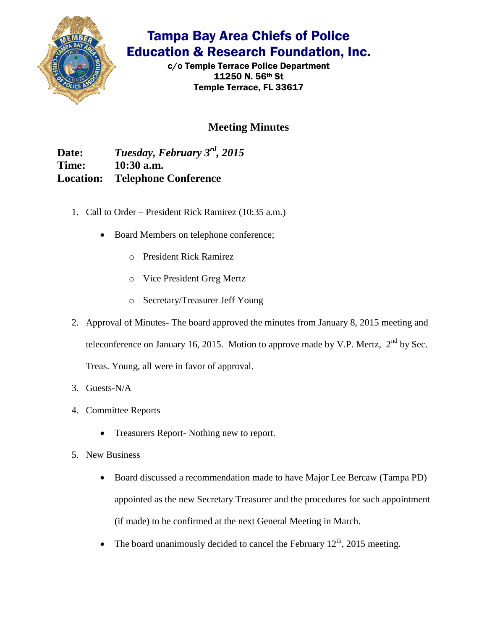

## Tampa Bay Area Chiefs of Police Education & Research Foundation, Inc.

c/o Temple Terrace Police Department 11250 N. 56th St Temple Terrace, FL 33617

## **Meeting Minutes**

**Date:** *Tuesday, February 3rd, 2015* **Time: 10:30 a.m. Location: Telephone Conference**

- 1. Call to Order President Rick Ramirez (10:35 a.m.)
	- Board Members on telephone conference;
		- o President Rick Ramirez
		- o Vice President Greg Mertz
		- o Secretary/Treasurer Jeff Young
- 2. Approval of Minutes- The board approved the minutes from January 8, 2015 meeting and teleconference on January 16, 2015. Motion to approve made by V.P. Mertz,  $2<sup>nd</sup>$  by Sec. Treas. Young, all were in favor of approval.
- 3. Guests-N/A
- 4. Committee Reports
	- Treasurers Report- Nothing new to report.
- 5. New Business
	- Board discussed a recommendation made to have Major Lee Bercaw (Tampa PD) appointed as the new Secretary Treasurer and the procedures for such appointment (if made) to be confirmed at the next General Meeting in March.
	- The board unanimously decided to cancel the February  $12<sup>th</sup>$ , 2015 meeting.